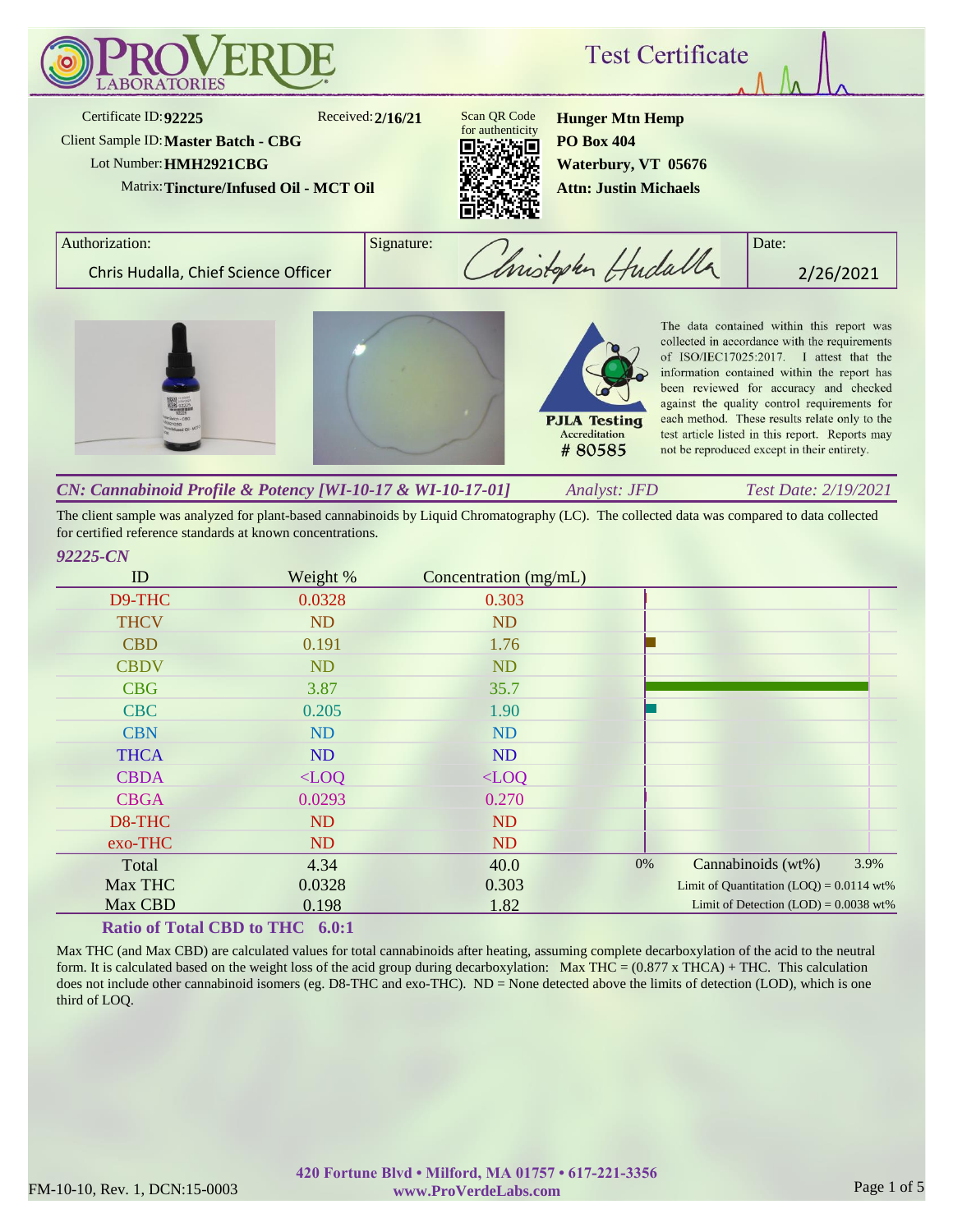

The client sample was analyzed for plant-based cannabinoids by Liquid Chromatography (LC). The collected data was compared to data collected for certified reference standards at known concentrations.

| ID          | Weight %  | Concentration (mg/mL) |    |                                            |      |
|-------------|-----------|-----------------------|----|--------------------------------------------|------|
| D9-THC      | 0.0328    | 0.303                 |    |                                            |      |
| <b>THCV</b> | <b>ND</b> | ND                    |    |                                            |      |
| <b>CBD</b>  | 0.191     | 1.76                  |    |                                            |      |
| <b>CBDV</b> | <b>ND</b> | <b>ND</b>             |    |                                            |      |
| <b>CBG</b>  | 3.87      | 35.7                  |    |                                            |      |
| <b>CBC</b>  | 0.205     | 1.90                  |    |                                            |      |
| <b>CBN</b>  | <b>ND</b> | ND                    |    |                                            |      |
| <b>THCA</b> | <b>ND</b> | ND                    |    |                                            |      |
| <b>CBDA</b> | $<$ LOQ   | $<$ LOQ               |    |                                            |      |
| <b>CBGA</b> | 0.0293    | 0.270                 |    |                                            |      |
| D8-THC      | ND        | <b>ND</b>             |    |                                            |      |
| exo-THC     | ND        | ND                    |    |                                            |      |
| Total       | 4.34      | 40.0                  | 0% | Cannabinoids (wt%)                         | 3.9% |
| Max THC     | 0.0328    | 0.303                 |    | Limit of Quantitation $(LOQ) = 0.0114$ wt% |      |
| Max CBD     | 0.198     | 1.82                  |    | Limit of Detection $(LOD) = 0.0038$ wt%    |      |

# **Ratio of Total CBD to THC 6.0:1**

Max THC (and Max CBD) are calculated values for total cannabinoids after heating, assuming complete decarboxylation of the acid to the neutral form. It is calculated based on the weight loss of the acid group during decarboxylation: Max THC =  $(0.877 \times THCA) + THC$ . This calculation does not include other cannabinoid isomers (eg. D8-THC and exo-THC). ND = None detected above the limits of detection (LOD), which is one third of LOQ.

*92225-CN*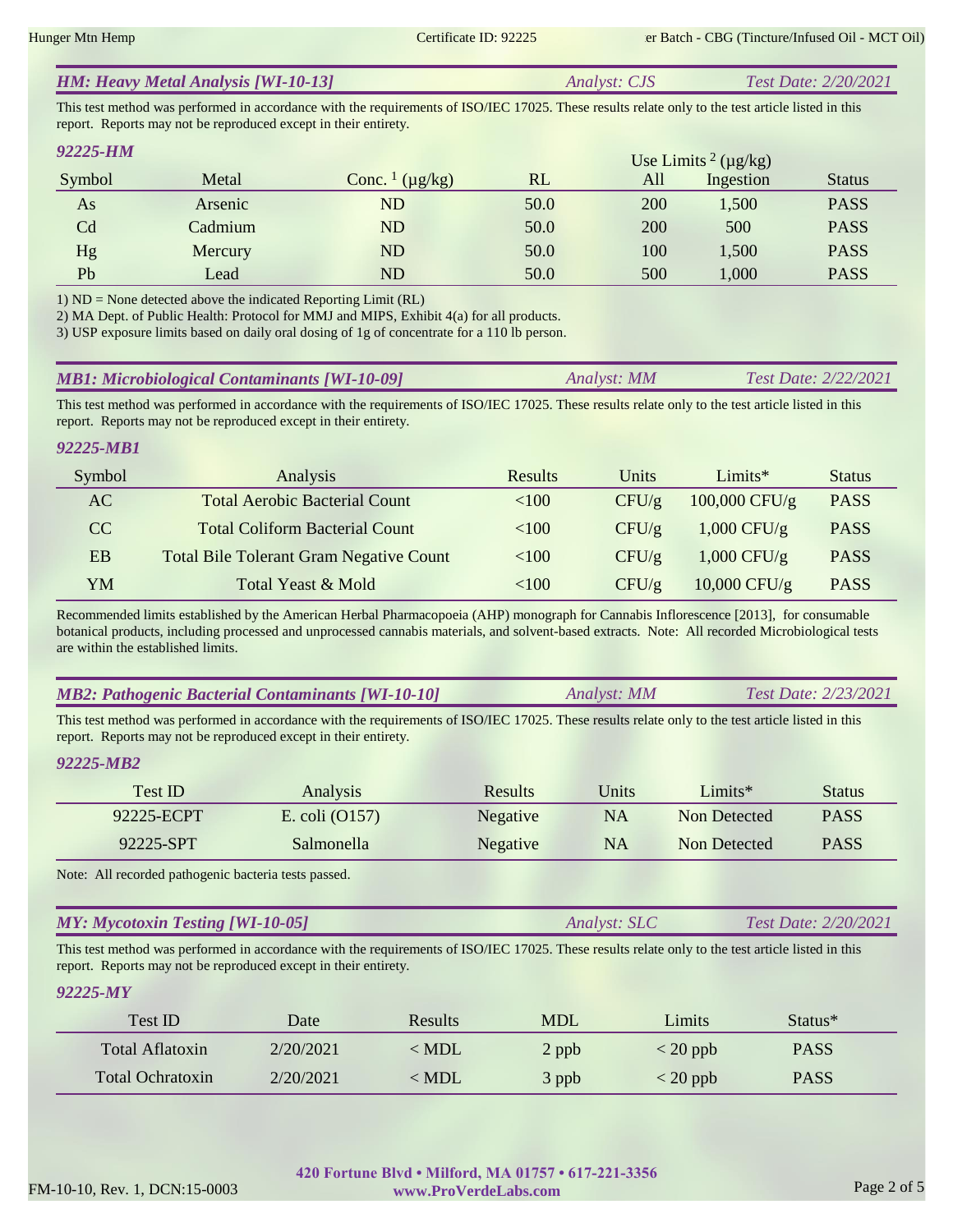|  | <b>HM: Heavy Metal Analysis [WI-10-13]</b> | <i>Analyst: CJS</i> | <b>Test Date: 2/20/2021</b> |
|--|--------------------------------------------|---------------------|-----------------------------|
|--|--------------------------------------------|---------------------|-----------------------------|

This test method was performed in accordance with the requirements of ISO/IEC 17025. These results relate only to the test article listed in this report. Reports may not be reproduced except in their entirety.

| 92225-HM |         |                                     |      |     | Use Limits <sup>2</sup> ( $\mu$ g/kg) |               |
|----------|---------|-------------------------------------|------|-----|---------------------------------------|---------------|
| Symbol   | Metal   | Conc. $\frac{1}{\mu}$ ( $\mu$ g/kg) | RL   | All | Ingestion                             | <b>Status</b> |
| As       | Arsenic | ${\rm ND}$                          | 50.0 | 200 | 1,500                                 | <b>PASS</b>   |
| Cd       | Cadmium | $\mathop{\rm ND}\nolimits$          | 50.0 | 200 | 500                                   | <b>PASS</b>   |
| Hg       | Mercury | ${\rm ND}$                          | 50.0 | 100 | 1,500                                 | <b>PASS</b>   |
| Pb       | Lead    | ${\rm ND}$                          | 50.0 | 500 | 1,000                                 | <b>PASS</b>   |

1) ND = None detected above the indicated Reporting Limit (RL)

2) MA Dept. of Public Health: Protocol for MMJ and MIPS, Exhibit 4(a) for all products.

3) USP exposure limits based on daily oral dosing of 1g of concentrate for a 110 lb person.

| <b>MB1: Microbiological Contaminants [WI-10-09]</b> | Analyst: MM | <i>Test Date: 2/22/2021</i> |
|-----------------------------------------------------|-------------|-----------------------------|
|-----------------------------------------------------|-------------|-----------------------------|

This test method was performed in accordance with the requirements of ISO/IEC 17025. These results relate only to the test article listed in this report. Reports may not be reproduced except in their entirety.

# *92225-MB1*

| Symbol | Analysis                                       | <b>Results</b> | Units    | Limits $*$      | <b>Status</b> |
|--------|------------------------------------------------|----------------|----------|-----------------|---------------|
| AC     | <b>Total Aerobic Bacterial Count</b>           | <100           | $CFU/\g$ | $100,000$ CFU/g | <b>PASS</b>   |
| CC.    | <b>Total Coliform Bacterial Count</b>          | <100           | CFU/g    | $1,000$ CFU/g   | <b>PASS</b>   |
| EB     | <b>Total Bile Tolerant Gram Negative Count</b> | <100           | $CFU/\g$ | $1,000$ CFU/g   | <b>PASS</b>   |
| YM     | Total Yeast & Mold                             | <100           | CFU/g    | $10,000$ CFU/g  | <b>PASS</b>   |

Recommended limits established by the American Herbal Pharmacopoeia (AHP) monograph for Cannabis Inflorescence [2013], for consumable botanical products, including processed and unprocessed cannabis materials, and solvent-based extracts. Note: All recorded Microbiological tests are within the established limits.

|  | <b>MB2: Pathogenic Bacterial Contaminants [WI-10-10]</b><br>Analyst: MM | Test Date: 2/23/2021 |
|--|-------------------------------------------------------------------------|----------------------|
|--|-------------------------------------------------------------------------|----------------------|

This test method was performed in accordance with the requirements of ISO/IEC 17025. These results relate only to the test article listed in this report. Reports may not be reproduced except in their entirety.

## *92225-MB2*

| Test ID    | <b>Analysis</b>  | <b>Results</b> | Units | Limits $*$   | <b>Status</b> |
|------------|------------------|----------------|-------|--------------|---------------|
| 92225-ECPT | E. coli $(0157)$ | Negative       | NA    | Non Detected | <b>PASS</b>   |
| 92225-SPT  | Salmonella       | Negative       | NA    | Non Detected | <b>PASS</b>   |

Note: All recorded pathogenic bacteria tests passed.

| <b>MY: Mycotoxin Testing [WI-10-05]</b> | <i>Analyst: SLC</i> | Test Date: 2/20/2021 |
|-----------------------------------------|---------------------|----------------------|
|                                         |                     |                      |

This test method was performed in accordance with the requirements of ISO/IEC 17025. These results relate only to the test article listed in this report. Reports may not be reproduced except in their entirety.

## *92225-MY*

| Test ID                 | Date      | <b>Results</b> | <b>MDL</b> | Limits                           | Status*     |
|-------------------------|-----------|----------------|------------|----------------------------------|-------------|
| Total Aflatoxin         | 2/20/2021 | $<$ MDL        | 2 ppb      | $\langle 20 \text{ ppb} \rangle$ | <b>PASS</b> |
| <b>Total Ochratoxin</b> | 2/20/2021 | < MDL          | 3 ppb      | $<$ 20 ppb                       | <b>PASS</b> |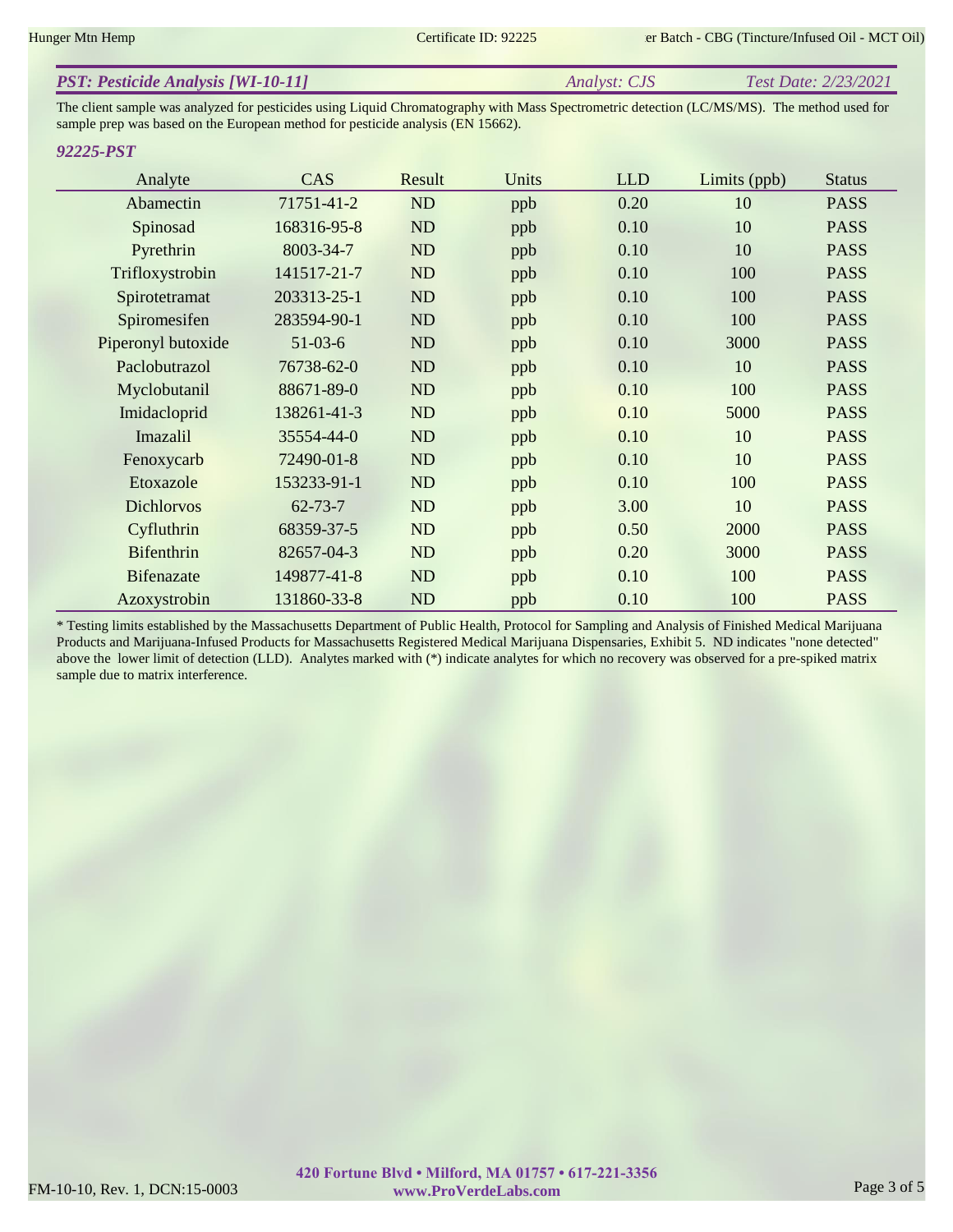|  | <b>PST: Pesticide Analysis [WI-10-11]</b> | <i>Analyst: CJS</i> | Test Date: 2/23/2021 |
|--|-------------------------------------------|---------------------|----------------------|
|--|-------------------------------------------|---------------------|----------------------|

The client sample was analyzed for pesticides using Liquid Chromatography with Mass Spectrometric detection (LC/MS/MS). The method used for sample prep was based on the European method for pesticide analysis (EN 15662).

# *92225-PST*

| Analyte            | <b>CAS</b>    | Result    | Units | <b>LLD</b> | Limits (ppb) | <b>Status</b> |
|--------------------|---------------|-----------|-------|------------|--------------|---------------|
| Abamectin          | 71751-41-2    | ND        | ppb   | 0.20       | 10           | <b>PASS</b>   |
| Spinosad           | 168316-95-8   | ND        | ppb   | 0.10       | 10           | <b>PASS</b>   |
| Pyrethrin          | 8003-34-7     | ND        | ppb   | 0.10       | 10           | <b>PASS</b>   |
| Trifloxystrobin    | 141517-21-7   | ND        | ppb   | 0.10       | 100          | <b>PASS</b>   |
| Spirotetramat      | 203313-25-1   | ND        | ppb   | 0.10       | 100          | <b>PASS</b>   |
| Spiromesifen       | 283594-90-1   | ND        | ppb   | 0.10       | 100          | <b>PASS</b>   |
| Piperonyl butoxide | $51-03-6$     | ND        | ppb   | 0.10       | 3000         | <b>PASS</b>   |
| Paclobutrazol      | 76738-62-0    | ND        | ppb   | 0.10       | 10           | <b>PASS</b>   |
| Myclobutanil       | 88671-89-0    | ND        | ppb   | 0.10       | 100          | <b>PASS</b>   |
| Imidacloprid       | 138261-41-3   | ND        | ppb   | 0.10       | 5000         | <b>PASS</b>   |
| Imazalil           | 35554-44-0    | ND        | ppb   | 0.10       | 10           | <b>PASS</b>   |
| Fenoxycarb         | 72490-01-8    | ND        | ppb   | 0.10       | 10           | <b>PASS</b>   |
| Etoxazole          | 153233-91-1   | ND        | ppb   | 0.10       | 100          | <b>PASS</b>   |
| <b>Dichlorvos</b>  | $62 - 73 - 7$ | ND        | ppb   | 3.00       | 10           | <b>PASS</b>   |
| Cyfluthrin         | 68359-37-5    | ND        | ppb   | 0.50       | 2000         | <b>PASS</b>   |
| <b>Bifenthrin</b>  | 82657-04-3    | ND        | ppb   | 0.20       | 3000         | <b>PASS</b>   |
| <b>Bifenazate</b>  | 149877-41-8   | <b>ND</b> | ppb   | 0.10       | 100          | <b>PASS</b>   |
| Azoxystrobin       | 131860-33-8   | ND        | ppb   | 0.10       | 100          | <b>PASS</b>   |

\* Testing limits established by the Massachusetts Department of Public Health, Protocol for Sampling and Analysis of Finished Medical Marijuana Products and Marijuana-Infused Products for Massachusetts Registered Medical Marijuana Dispensaries, Exhibit 5. ND indicates "none detected" above the lower limit of detection (LLD). Analytes marked with (\*) indicate analytes for which no recovery was observed for a pre-spiked matrix sample due to matrix interference.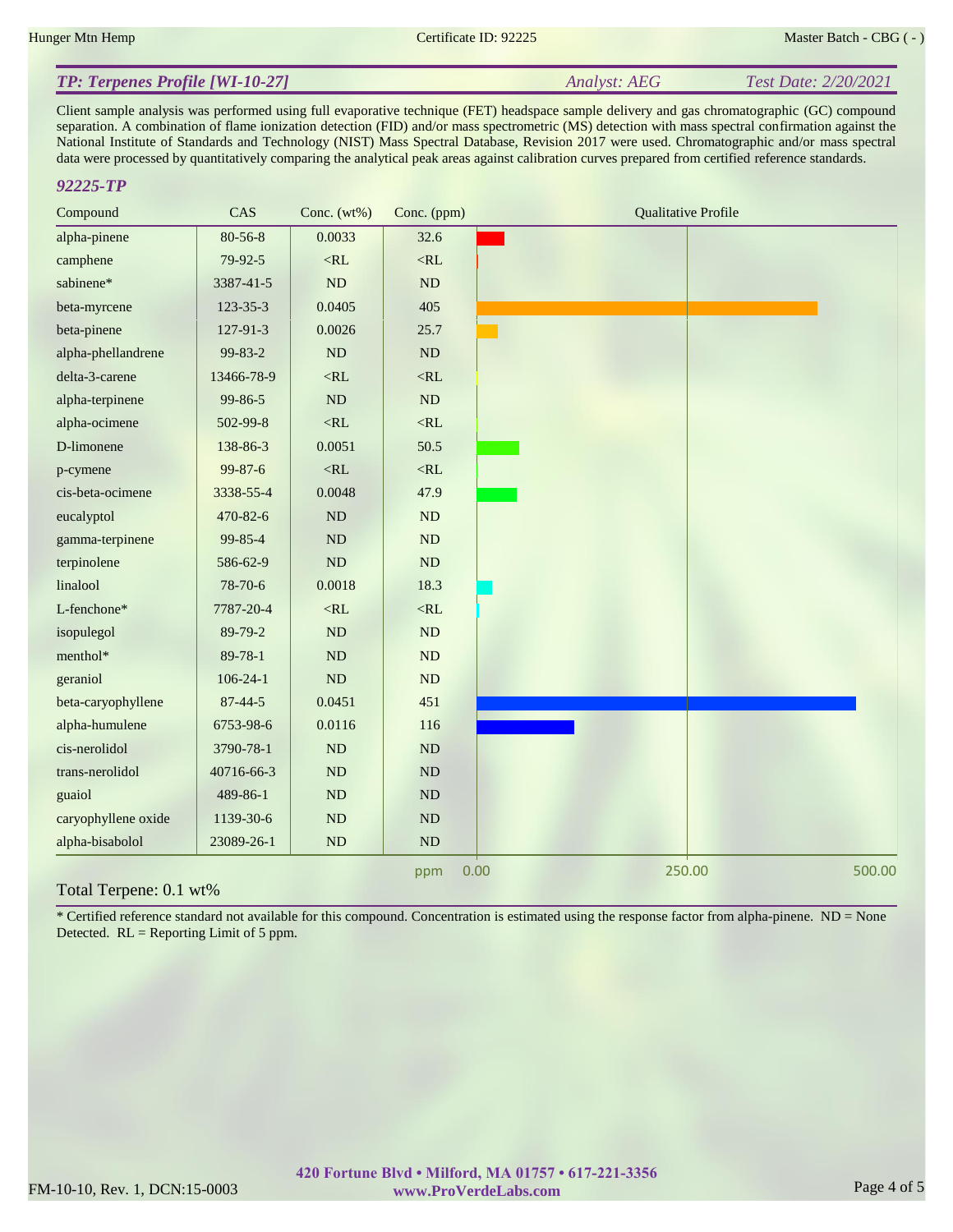*Analyst: AEG Test Date: 2/20/2021*

# *TP: Terpenes Profile [WI-10-27]*

Client sample analysis was performed using full evaporative technique (FET) headspace sample delivery and gas chromatographic (GC) compound separation. A combination of flame ionization detection (FID) and/or mass spectrometric (MS) detection with mass spectral confirmation against the National Institute of Standards and Technology (NIST) Mass Spectral Database, Revision 2017 were used. Chromatographic and/or mass spectral data were processed by quantitatively comparing the analytical peak areas against calibration curves prepared from certified reference standards.

# *92225-TP*

| Compound            | CAS            | Conc. $(wt\%)$ | Conc. (ppm) | <b>Qualitative Profile</b> |
|---------------------|----------------|----------------|-------------|----------------------------|
| alpha-pinene        | $80 - 56 - 8$  | 0.0033         | 32.6        |                            |
| camphene            | 79-92-5        | $<\!\!RL$      | $<\!\!RL$   |                            |
| sabinene*           | 3387-41-5      | ND             | ND          |                            |
| beta-myrcene        | 123-35-3       | 0.0405         | 405         |                            |
| beta-pinene         | $127 - 91 - 3$ | 0.0026         | 25.7        |                            |
| alpha-phellandrene  | 99-83-2        | $\rm ND$       | $\rm ND$    |                            |
| delta-3-carene      | 13466-78-9     | $<\!\!RL$      | $<\!\!RL$   |                            |
| alpha-terpinene     | 99-86-5        | ND             | $\rm ND$    |                            |
| alpha-ocimene       | 502-99-8       | $<\!\!RL$      | $<\!\!RL$   |                            |
| D-limonene          | 138-86-3       | 0.0051         | 50.5        |                            |
| p-cymene            | 99-87-6        | $<\!\!RL$      | $<\!\!RL$   |                            |
| cis-beta-ocimene    | 3338-55-4      | 0.0048         | 47.9        |                            |
| eucalyptol          | 470-82-6       | ND             | ND          |                            |
| gamma-terpinene     | 99-85-4        | ${\rm ND}$     | ND          |                            |
| terpinolene         | 586-62-9       | ND             | $\rm ND$    |                            |
| linalool            | 78-70-6        | 0.0018         | 18.3        |                            |
| L-fenchone*         | 7787-20-4      | $<\!\!RL$      | $<\!\!RL$   |                            |
| isopulegol          | 89-79-2        | ND             | ND          |                            |
| menthol*            | 89-78-1        | ND             | ND          |                            |
| geraniol            | $106 - 24 - 1$ | $\rm ND$       | ND          |                            |
| beta-caryophyllene  | $87 - 44 - 5$  | 0.0451         | 451         |                            |
| alpha-humulene      | 6753-98-6      | 0.0116         | 116         |                            |
| cis-nerolidol       | 3790-78-1      | ND             | ND          |                            |
| trans-nerolidol     | 40716-66-3     | $\rm ND$       | $\rm ND$    |                            |
| guaiol              | 489-86-1       | $\rm ND$       | $\rm ND$    |                            |
| caryophyllene oxide | 1139-30-6      | $\rm ND$       | $\rm ND$    |                            |
| alpha-bisabolol     | 23089-26-1     | ND             | $\rm ND$    |                            |
|                     |                |                | ppm         | 250.00<br>500.00<br>0.00   |

## Total Terpene: 0.1 wt%

\* Certified reference standard not available for this compound. Concentration is estimated using the response factor from alpha-pinene. ND = None Detected. RL = Reporting Limit of 5 ppm.